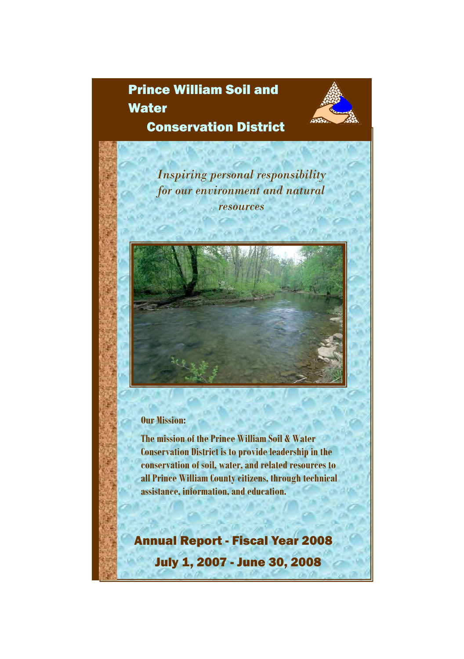# Prince William Soil and

**Water** 



Conservation District

*Inspiring personal responsibility for our environment and natural resources*

## **Our Mission:**

**The mission of the Prince William Soil & Water Conservation District is to provide leadership in the conservation of soil, water, and related resources to all Prince William County citizens, through technical assistance, information, and education.**

Annual Report - Fiscal Year 2008 July 1, 2007 - June 30, 2008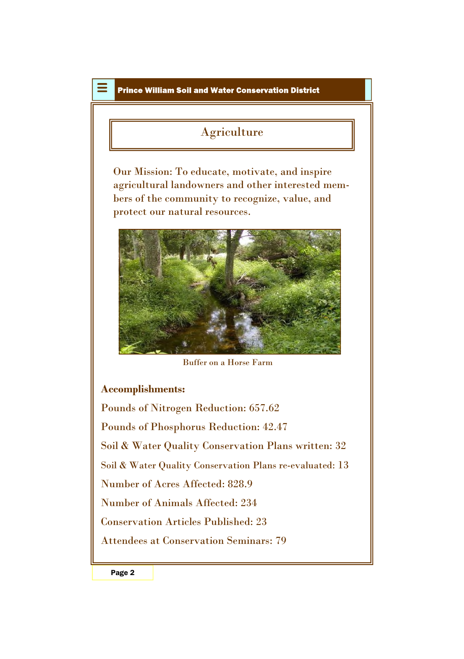## Agriculture

Our Mission: To educate, motivate, and inspire agricultural landowners and other interested members of the community to recognize, value, and protect our natural resources.



Buffer on a Horse Farm

## **Accomplishments:**

Pounds of Nitrogen Reduction: 657.62 Pounds of Phosphorus Reduction: 42.47 Soil & Water Quality Conservation Plans written: 32 Soil & Water Quality Conservation Plans re-evaluated: 13 Number of Acres Affected: 828.9 Number of Animals Affected: 234 Conservation Articles Published: 23 Attendees at Conservation Seminars: 79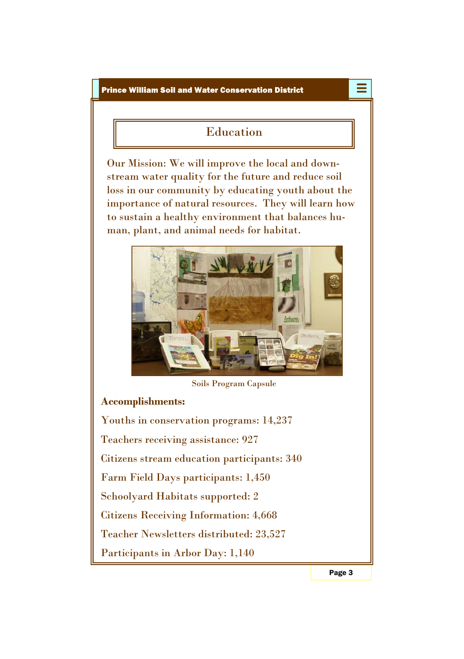# Education

Our Mission: We will improve the local and downstream water quality for the future and reduce soil loss in our community by educating youth about the importance of natural resources. They will learn how to sustain a healthy environment that balances human, plant, and animal needs for habitat.



Soils Program Capsule

## **Accomplishments:**

Youths in conservation programs: 14,237 Teachers receiving assistance: 927 Citizens stream education participants: 340 Farm Field Days participants: 1,450 Schoolyard Habitats supported: 2 Citizens Receiving Information: 4,668 Teacher Newsletters distributed: 23,527 Participants in Arbor Day: 1,140

Page 3

≣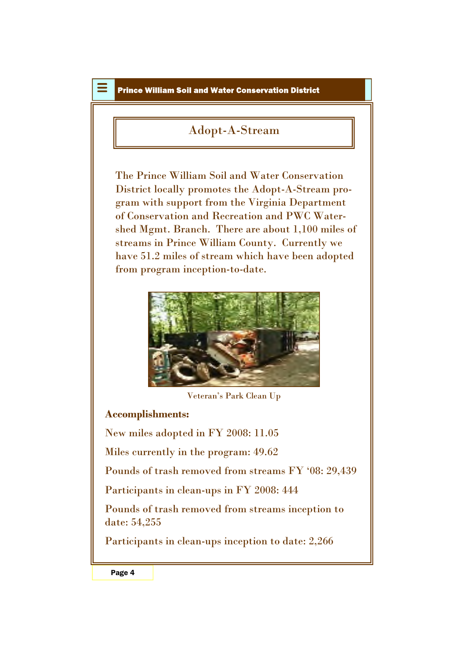## Adopt-A-Stream

The Prince William Soil and Water Conservation District locally promotes the Adopt-A-Stream program with support from the Virginia Department of Conservation and Recreation and PWC Watershed Mgmt. Branch. There are about 1,100 miles of streams in Prince William County. Currently we have 51.2 miles of stream which have been adopted from program inception-to-date.



Veteran's Park Clean Up

### **Accomplishments:**

New miles adopted in FY 2008: 11.05

Miles currently in the program: 49.62

Pounds of trash removed from streams FY '08: 29,439

Participants in clean-ups in FY 2008: 444

Pounds of trash removed from streams inception to date: 54,255

Participants in clean-ups inception to date: 2,266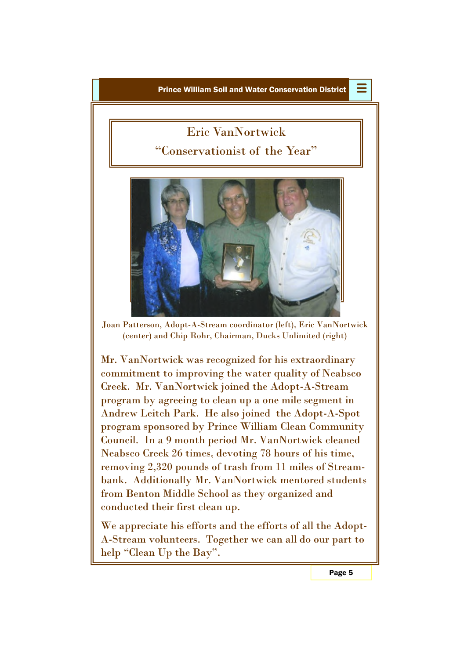≣

# Eric VanNortwick

"Conservationist of the Year"



Joan Patterson, Adopt-A-Stream coordinator (left), Eric VanNortwick (center) and Chip Rohr, Chairman, Ducks Unlimited (right)

Mr. VanNortwick was recognized for his extraordinary commitment to improving the water quality of Neabsco Creek. Mr. VanNortwick joined the Adopt-A-Stream program by agreeing to clean up a one mile segment in Andrew Leitch Park. He also joined the Adopt-A-Spot program sponsored by Prince William Clean Community Council. In a 9 month period Mr. VanNortwick cleaned Neabsco Creek 26 times, devoting 78 hours of his time, removing 2,320 pounds of trash from 11 miles of Streambank. Additionally Mr. VanNortwick mentored students from Benton Middle School as they organized and conducted their first clean up.

We appreciate his efforts and the efforts of all the Adopt-A-Stream volunteers. Together we can all do our part to help "Clean Up the Bay".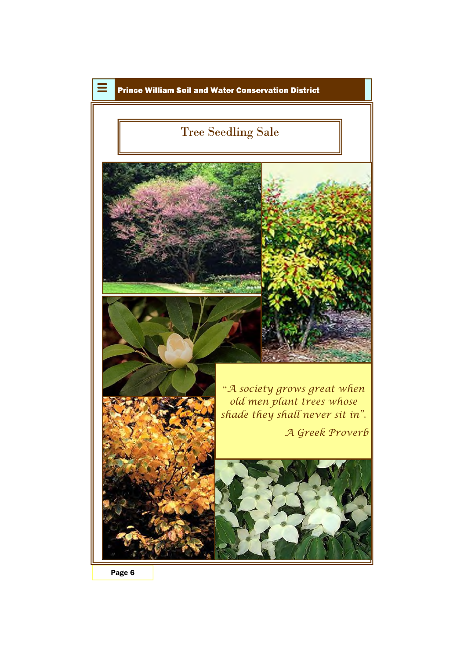

Page 6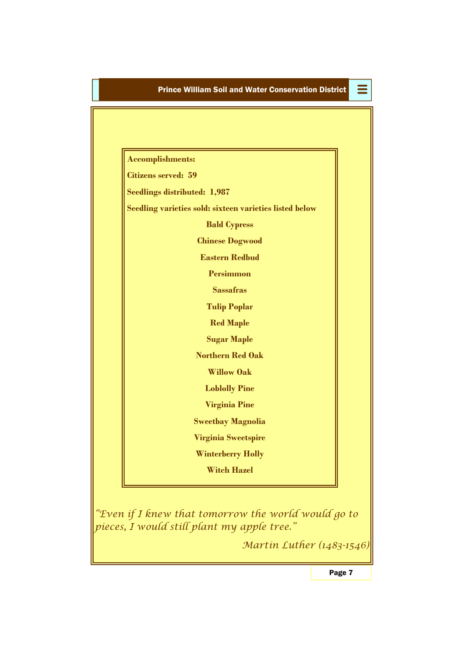Ξ

| <b>Accomplishments:</b>             |                                                         |  |
|-------------------------------------|---------------------------------------------------------|--|
| Citizens served: 59                 |                                                         |  |
| <b>Seedlings distributed: 1,987</b> |                                                         |  |
|                                     | Seedling varieties sold: sixteen varieties listed below |  |
|                                     | <b>Bald Cypress</b>                                     |  |
|                                     | <b>Chinese Dogwood</b>                                  |  |
|                                     | <b>Eastern Redbud</b>                                   |  |
|                                     | <b>Persimmon</b>                                        |  |
|                                     | <b>Sassafras</b>                                        |  |
|                                     | <b>Tulip Poplar</b>                                     |  |
|                                     | <b>Red Maple</b>                                        |  |
|                                     | <b>Sugar Maple</b>                                      |  |
|                                     | <b>Northern Red Oak</b>                                 |  |
|                                     | <b>Willow Oak</b>                                       |  |
|                                     | <b>Loblolly Pine</b>                                    |  |
|                                     | <b>Virginia Pine</b>                                    |  |
|                                     | <b>Sweetbay Magnolia</b>                                |  |
|                                     | <b>Virginia Sweetspire</b>                              |  |
|                                     | <b>Winterberry Holly</b>                                |  |
|                                     | <b>Witch Hazel</b>                                      |  |

*"Even if I knew that tomorrow the world would go to pieces, I would still plant my apple tree."*

*Martin Luther (1483-1546)*

Page 7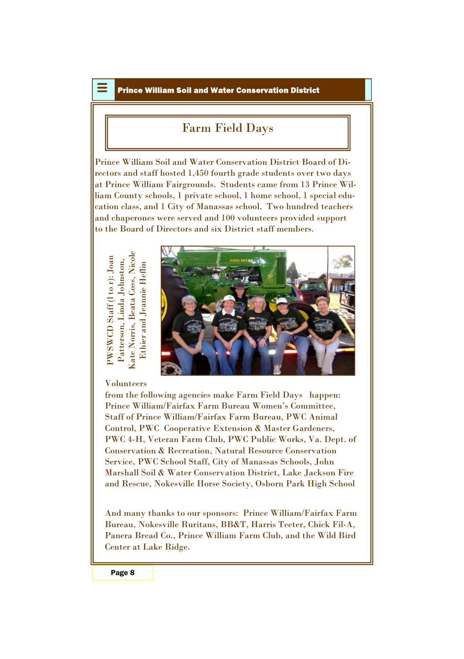## Farm Field Days

Prince William Soil and Water Conservation District Board of Directors and staff hosted 1,450 fourth grade students over two days at Prince William Fairgrounds. Students came from 13 Prince William County schools, 1 private school, 1 home school, 1 special education class, and 1 City of Manassas school. Two hundred teachers and chaperones were served and 100 volunteers provided support to the Board of Directors and six District staff members.

PWSW CD $D\ \text{Start} \ (l\ \text{to}\ r) \colon \text{Joan} \$ Patterson, Lin da Joh nston, Kate Norris, Beata Coss, Nicole Ethier an d Jean nie Heflin



#### Volunteers

from the following agencies make Farm Field Days happen: Prince William/Fairfax Farm Bureau Women's Committee, Staff of Prince William/Fairfax Farm Bureau, PWC Animal Control, PWC Cooperative Extension & Master Gardeners, PWC 4-H, Veteran Farm Club, PWC Public Works, Va. Dept. of Conservation & Recreation, Natural Resource Conservation Service, PWC School Staff, City of Manassas Schools, John Marshall Soil & Water Conservation District, Lake Jackson Fire and Rescue, Nokesville Horse Society, Osborn Park High School

And many thanks to our sponsors: Prince William/Fairfax Farm Bureau, Nokesville Ruritans, BB&T, Harris Teeter, Chick Fil-A, Panera Bread Co., Prince William Farm Club, and the Wild Bird Center at Lake Ridge.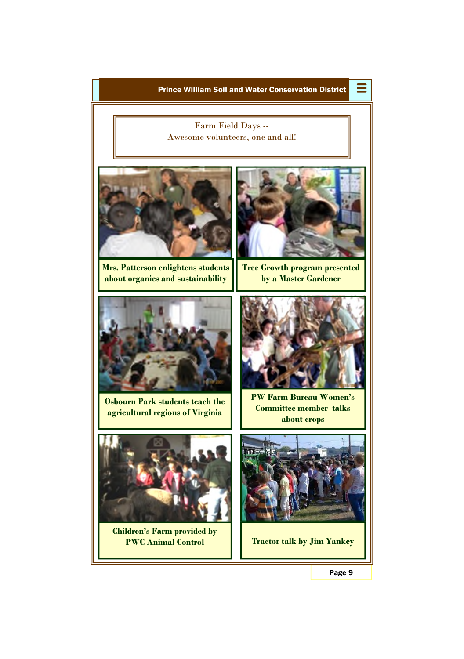

Page 9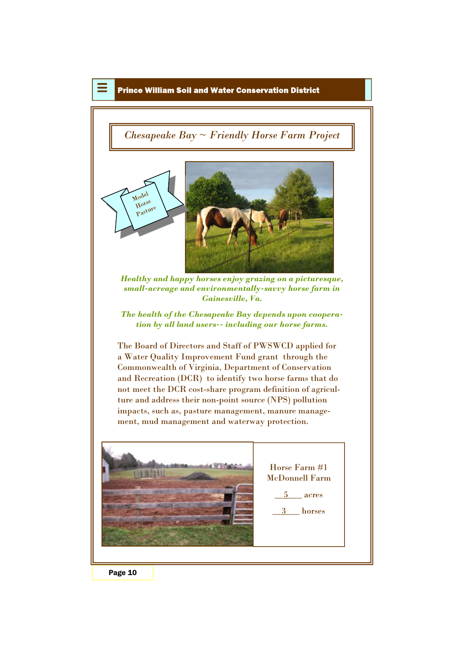## *Chesapeake Bay ~ Friendly Horse Farm Project*



*Healthy and happy horses enjoy grazing on a picturesque, small-acreage and environmentally-savvy horse farm in Gainesville, Va.*

*The health of the Chesapeake Bay depends upon cooperation by all land users-- including our horse farms.*

The Board of Directors and Staff of PWSWCD applied for a Water Quality Improvement Fund grant through the Commonwealth of Virginia, Department of Conservation and Recreation (DCR) to identify two horse farms that do not meet the DCR cost-share program definition of agriculture and address their non-point source (NPS) pollution impacts, such as, pasture management, manure management, mud management and waterway protection.



Page 10

Model Horse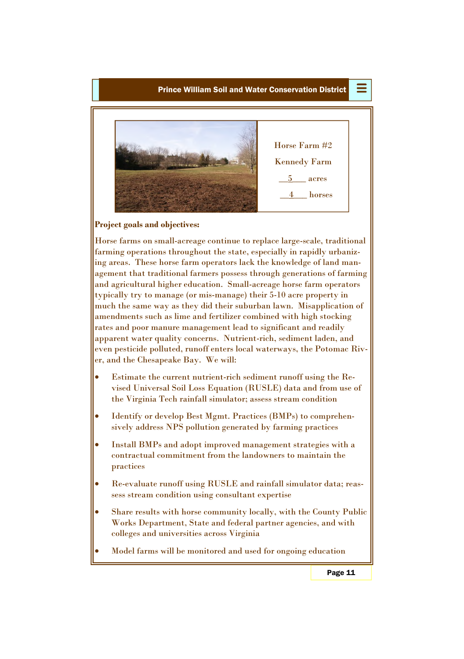

#### **Project goals and objectives:**

Horse farms on small-acreage continue to replace large-scale, traditional farming operations throughout the state, especially in rapidly urbanizing areas. These horse farm operators lack the knowledge of land management that traditional farmers possess through generations of farming and agricultural higher education. Small-acreage horse farm operators typically try to manage (or mis-manage) their 5-10 acre property in much the same way as they did their suburban lawn. Misapplication of amendments such as lime and fertilizer combined with high stocking rates and poor manure management lead to significant and readily apparent water quality concerns. Nutrient-rich, sediment laden, and even pesticide polluted, runoff enters local waterways, the Potomac River, and the Chesapeake Bay. We will:

- Estimate the current nutrient-rich sediment runoff using the Revised Universal Soil Loss Equation (RUSLE) data and from use of the Virginia Tech rainfall simulator; assess stream condition
- Identify or develop Best Mgmt. Practices (BMPs) to comprehensively address NPS pollution generated by farming practices
- Install BMPs and adopt improved management strategies with a contractual commitment from the landowners to maintain the practices
- Re-evaluate runoff using RUSLE and rainfall simulator data; reassess stream condition using consultant expertise
- Share results with horse community locally, with the County Public Works Department, State and federal partner agencies, and with colleges and universities across Virginia
- Model farms will be monitored and used for ongoing education